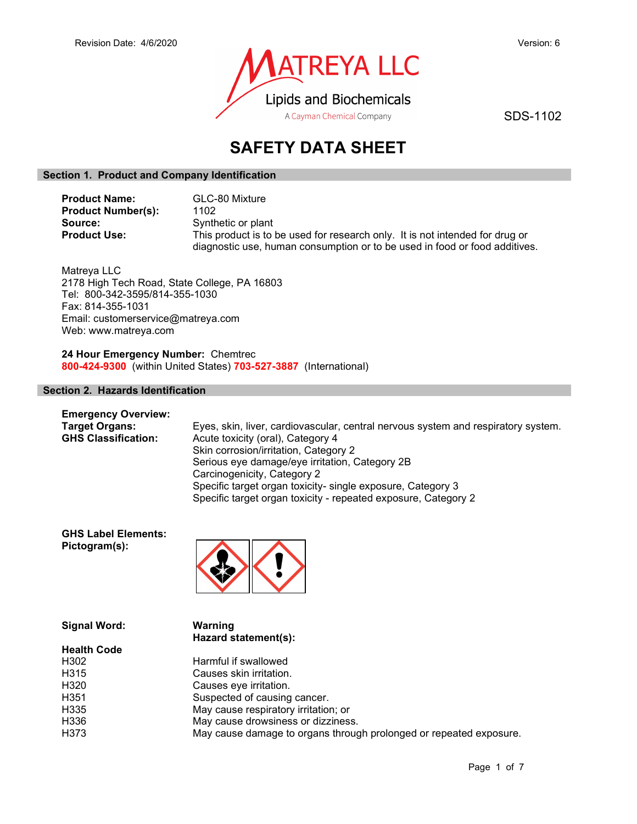

SDS-1102

# SAFETY DATA SHEET

# Section 1. Product and Company Identification

| <b>Product Name:</b>      | GLC-80 Mixture                                                               |
|---------------------------|------------------------------------------------------------------------------|
| <b>Product Number(s):</b> | 1102                                                                         |
| Source:                   | Synthetic or plant                                                           |
| <b>Product Use:</b>       | This product is to be used for research only. It is not intended for drug or |
|                           | diagnostic use, human consumption or to be used in food or food additives.   |

Matreya LLC 2178 High Tech Road, State College, PA 16803 Tel: 800-342-3595/814-355-1030 Fax: 814-355-1031 Email: customerservice@matreya.com Web: www.matreya.com

24 Hour Emergency Number: Chemtrec 800-424-9300 (within United States) 703-527-3887 (International)

# Section 2. Hazards Identification

| <b>Emergency Overview:</b> |                                                                                   |
|----------------------------|-----------------------------------------------------------------------------------|
| <b>Target Organs:</b>      | Eyes, skin, liver, cardiovascular, central nervous system and respiratory system. |
| <b>GHS Classification:</b> | Acute toxicity (oral), Category 4                                                 |
|                            | Skin corrosion/irritation, Category 2                                             |
|                            | Serious eye damage/eye irritation, Category 2B                                    |
|                            | Carcinogenicity, Category 2                                                       |
|                            | Specific target organ toxicity- single exposure, Category 3                       |
|                            | Specific target organ toxicity - repeated exposure, Category 2                    |

GHS Label Elements: Pictogram(s):



| <b>Signal Word:</b> | Warning                                                            |
|---------------------|--------------------------------------------------------------------|
|                     | Hazard statement(s):                                               |
| <b>Health Code</b>  |                                                                    |
| H302                | Harmful if swallowed                                               |
| H <sub>315</sub>    | Causes skin irritation.                                            |
| H320                | Causes eye irritation.                                             |
| H <sub>351</sub>    | Suspected of causing cancer.                                       |
| H335                | May cause respiratory irritation; or                               |
| H336                | May cause drowsiness or dizziness.                                 |
| H373                | May cause damage to organs through prolonged or repeated exposure. |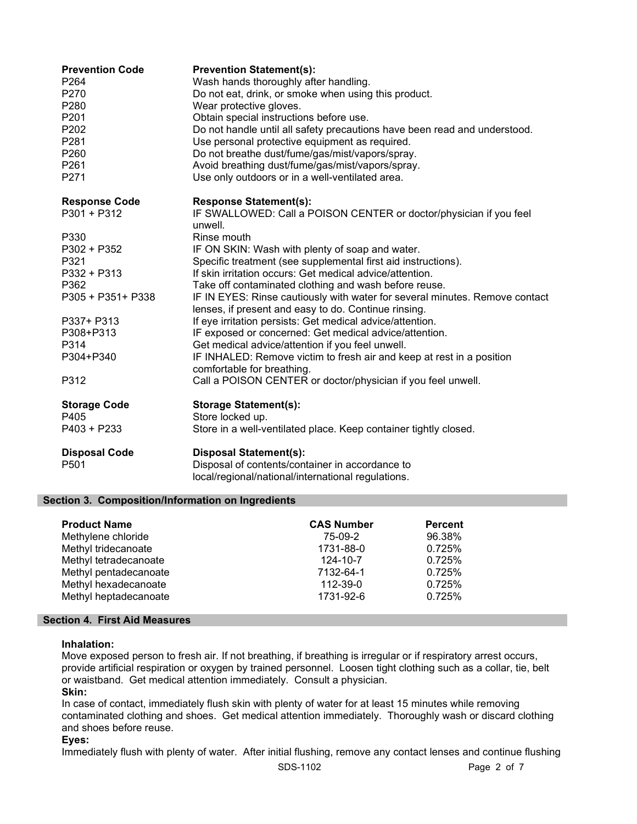| <b>Prevention Code</b><br>P <sub>264</sub><br>P270<br>P280<br>P201<br>P202<br>P281<br>P <sub>260</sub><br>P261<br>P271 | <b>Prevention Statement(s):</b><br>Wash hands thoroughly after handling.<br>Do not eat, drink, or smoke when using this product.<br>Wear protective gloves.<br>Obtain special instructions before use.<br>Do not handle until all safety precautions have been read and understood.<br>Use personal protective equipment as required.<br>Do not breathe dust/fume/gas/mist/vapors/spray.<br>Avoid breathing dust/fume/gas/mist/vapors/spray.<br>Use only outdoors or in a well-ventilated area. |
|------------------------------------------------------------------------------------------------------------------------|-------------------------------------------------------------------------------------------------------------------------------------------------------------------------------------------------------------------------------------------------------------------------------------------------------------------------------------------------------------------------------------------------------------------------------------------------------------------------------------------------|
| <b>Response Code</b><br>$P301 + P312$                                                                                  | <b>Response Statement(s):</b><br>IF SWALLOWED: Call a POISON CENTER or doctor/physician if you feel                                                                                                                                                                                                                                                                                                                                                                                             |
|                                                                                                                        | unwell.                                                                                                                                                                                                                                                                                                                                                                                                                                                                                         |
| P330                                                                                                                   | Rinse mouth                                                                                                                                                                                                                                                                                                                                                                                                                                                                                     |
| P302 + P352                                                                                                            | IF ON SKIN: Wash with plenty of soap and water.                                                                                                                                                                                                                                                                                                                                                                                                                                                 |
| P321                                                                                                                   | Specific treatment (see supplemental first aid instructions).                                                                                                                                                                                                                                                                                                                                                                                                                                   |
| P332 + P313                                                                                                            | If skin irritation occurs: Get medical advice/attention.                                                                                                                                                                                                                                                                                                                                                                                                                                        |
| P362                                                                                                                   | Take off contaminated clothing and wash before reuse.                                                                                                                                                                                                                                                                                                                                                                                                                                           |
| P305 + P351+ P338                                                                                                      | IF IN EYES: Rinse cautiously with water for several minutes. Remove contact<br>lenses, if present and easy to do. Continue rinsing.                                                                                                                                                                                                                                                                                                                                                             |
| P337+ P313                                                                                                             | If eye irritation persists: Get medical advice/attention.                                                                                                                                                                                                                                                                                                                                                                                                                                       |
| P308+P313                                                                                                              | IF exposed or concerned: Get medical advice/attention.                                                                                                                                                                                                                                                                                                                                                                                                                                          |
| P314                                                                                                                   | Get medical advice/attention if you feel unwell.                                                                                                                                                                                                                                                                                                                                                                                                                                                |
| P304+P340                                                                                                              | IF INHALED: Remove victim to fresh air and keep at rest in a position<br>comfortable for breathing.                                                                                                                                                                                                                                                                                                                                                                                             |
| P312                                                                                                                   | Call a POISON CENTER or doctor/physician if you feel unwell.                                                                                                                                                                                                                                                                                                                                                                                                                                    |
| <b>Storage Code</b>                                                                                                    | <b>Storage Statement(s):</b>                                                                                                                                                                                                                                                                                                                                                                                                                                                                    |
| P405                                                                                                                   | Store locked up.                                                                                                                                                                                                                                                                                                                                                                                                                                                                                |
| $P403 + P233$                                                                                                          | Store in a well-ventilated place. Keep container tightly closed.                                                                                                                                                                                                                                                                                                                                                                                                                                |
| <b>Disposal Code</b><br>P501                                                                                           | <b>Disposal Statement(s):</b><br>Disposal of contents/container in accordance to<br>local/regional/national/international regulations.                                                                                                                                                                                                                                                                                                                                                          |

# Section 3. Composition/Information on Ingredients

| <b>Product Name</b>   | <b>CAS Number</b> | <b>Percent</b> |
|-----------------------|-------------------|----------------|
| Methylene chloride    | 75-09-2           | 96.38%         |
| Methyl tridecanoate   | 1731-88-0         | 0.725%         |
| Methyl tetradecanoate | 124-10-7          | 0.725%         |
| Methyl pentadecanoate | 7132-64-1         | 0.725%         |
| Methyl hexadecanoate  | 112-39-0          | 0.725%         |
| Methyl heptadecanoate | 1731-92-6         | 0.725%         |

# Section 4. First Aid Measures

## Inhalation:

Move exposed person to fresh air. If not breathing, if breathing is irregular or if respiratory arrest occurs, provide artificial respiration or oxygen by trained personnel. Loosen tight clothing such as a collar, tie, belt or waistband. Get medical attention immediately. Consult a physician.

## Skin:

In case of contact, immediately flush skin with plenty of water for at least 15 minutes while removing contaminated clothing and shoes. Get medical attention immediately. Thoroughly wash or discard clothing and shoes before reuse.

# Eyes:

Immediately flush with plenty of water. After initial flushing, remove any contact lenses and continue flushing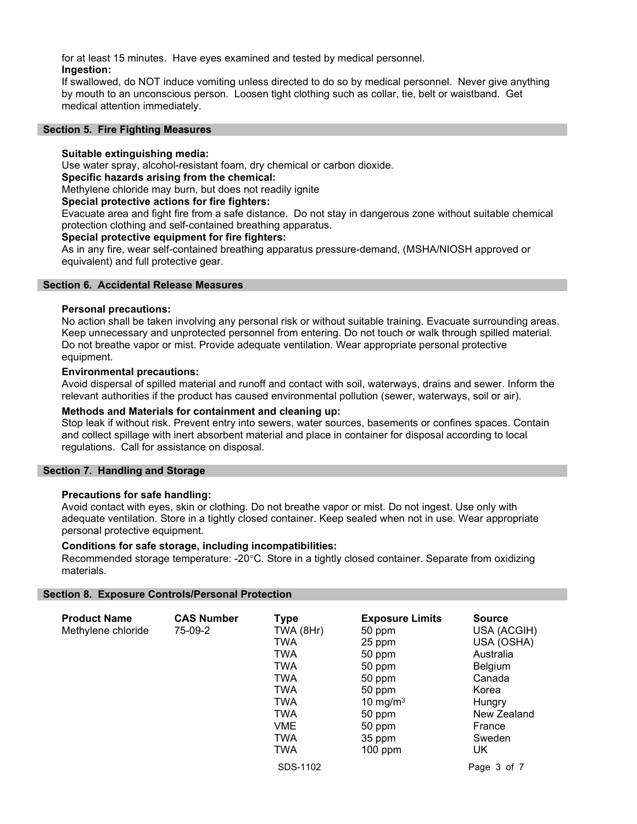for at least 15 minutes. Have eyes examined and tested by medical personnel. Ingestion:

If swallowed, do NOT induce vomiting unless directed to do so by medical personnel. Never give anything by mouth to an unconscious person. Loosen tight clothing such as collar, tie, belt or waistband. Get medical attention immediately.

#### Section 5. Fire Fighting Measures

## Suitable extinguishing media:

Use water spray, alcohol-resistant foam, dry chemical or carbon dioxide.

# Specific hazards arising from the chemical:

Methylene chloride may burn, but does not readily ignite

#### Special protective actions for fire fighters:

Evacuate area and fight fire from a safe distance. Do not stay in dangerous zone without suitable chemical protection clothing and self-contained breathing apparatus.

#### Special protective equipment for fire fighters:

As in any fire, wear self-contained breathing apparatus pressure-demand, (MSHA/NIOSH approved or equivalent) and full protective gear.

#### Section 6. Accidental Release Measures

#### Personal precautions:

No action shall be taken involving any personal risk or without suitable training. Evacuate surrounding areas. Keep unnecessary and unprotected personnel from entering. Do not touch or walk through spilled material. Do not breathe vapor or mist. Provide adequate ventilation. Wear appropriate personal protective equipment.

#### Environmental precautions:

Avoid dispersal of spilled material and runoff and contact with soil, waterways, drains and sewer. Inform the relevant authorities if the product has caused environmental pollution (sewer, waterways, soil or air).

#### Methods and Materials for containment and cleaning up:

Stop leak if without risk. Prevent entry into sewers, water sources, basements or confines spaces. Contain and collect spillage with inert absorbent material and place in container for disposal according to local regulations. Call for assistance on disposal.

#### Section 7. Handling and Storage

## Precautions for safe handling:

Avoid contact with eyes, skin or clothing. Do not breathe vapor or mist. Do not ingest. Use only with adequate ventilation. Store in a tightly closed container. Keep sealed when not in use. Wear appropriate personal protective equipment.

#### Conditions for safe storage, including incompatibilities:

Recommended storage temperature: -20°C. Store in a tightly closed container. Separate from oxidizing materials.

#### Section 8. Exposure Controls/Personal Protection

| <b>Product Name</b><br>Methylene chloride | <b>CAS Number</b><br>75-09-2 | <b>Type</b><br>TWA (8Hr)<br><b>TWA</b><br>TWA<br>TWA<br><b>TWA</b><br>TWA<br>TWA<br><b>TWA</b><br>VME<br>TWA<br>TWA | <b>Exposure Limits</b><br>50 ppm<br>25 ppm<br>50 ppm<br>50 ppm<br>50 ppm<br>50 ppm<br>10 mg/m $3$<br>50 ppm<br>50 ppm<br>35 ppm<br>$100$ ppm | <b>Source</b><br>USA (ACGIH)<br>USA (OSHA)<br>Australia<br>Belgium<br>Canada<br>Korea<br>Hungry<br>New Zealand<br>France<br>Sweden<br>UK |
|-------------------------------------------|------------------------------|---------------------------------------------------------------------------------------------------------------------|----------------------------------------------------------------------------------------------------------------------------------------------|------------------------------------------------------------------------------------------------------------------------------------------|
|                                           |                              | SDS-1102                                                                                                            |                                                                                                                                              | Page 3 of 7                                                                                                                              |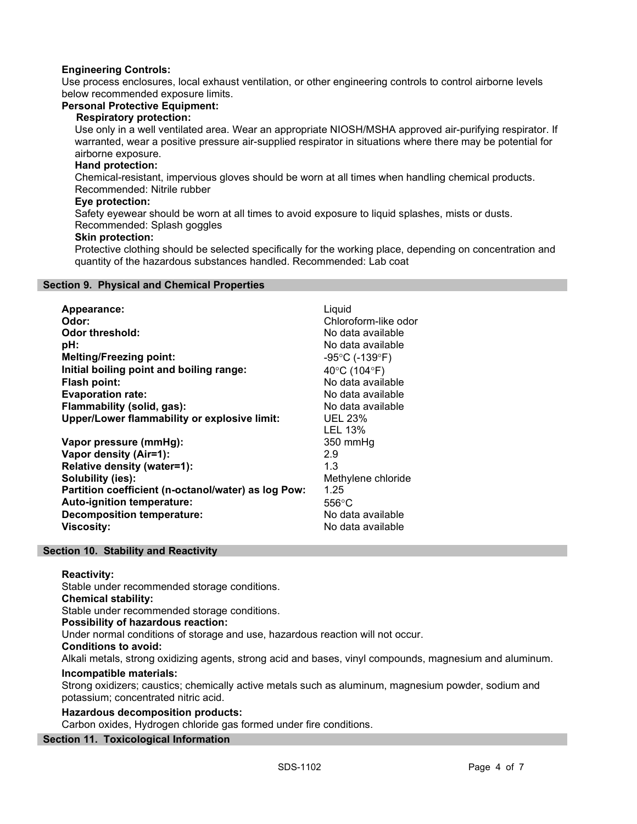# Engineering Controls:

Use process enclosures, local exhaust ventilation, or other engineering controls to control airborne levels below recommended exposure limits.

#### Personal Protective Equipment:

## Respiratory protection:

Use only in a well ventilated area. Wear an appropriate NIOSH/MSHA approved air-purifying respirator. If warranted, wear a positive pressure air-supplied respirator in situations where there may be potential for airborne exposure.

# Hand protection:

Chemical-resistant, impervious gloves should be worn at all times when handling chemical products. Recommended: Nitrile rubber

## Eye protection:

Safety eyewear should be worn at all times to avoid exposure to liquid splashes, mists or dusts. Recommended: Splash goggles

# Skin protection:

Protective clothing should be selected specifically for the working place, depending on concentration and quantity of the hazardous substances handled. Recommended: Lab coat

#### Section 9. Physical and Chemical Properties

| Appearance:<br>Odor:                                | Liquid<br>Chloroform-like odor      |
|-----------------------------------------------------|-------------------------------------|
| Odor threshold:                                     | No data available                   |
| pH:                                                 | No data available                   |
| <b>Melting/Freezing point:</b>                      | $-95^{\circ}$ C (-139 $^{\circ}$ F) |
| Initial boiling point and boiling range:            | 40°C (104°F)                        |
| Flash point:                                        | No data available                   |
| <b>Evaporation rate:</b>                            | No data available                   |
| Flammability (solid, gas):                          | No data available                   |
| <b>Upper/Lower flammability or explosive limit:</b> | <b>UEL 23%</b>                      |
|                                                     | LEL 13%                             |
| Vapor pressure (mmHg):                              | 350 mmHg                            |
| Vapor density (Air=1):                              | 2.9                                 |
| Relative density (water=1):                         | 1.3                                 |
| Solubility (ies):                                   | Methylene chloride                  |
| Partition coefficient (n-octanol/water) as log Pow: | 1.25                                |
| Auto-ignition temperature:                          | $556^{\circ}$ C                     |
| <b>Decomposition temperature:</b>                   | No data available                   |
| <b>Viscosity:</b>                                   | No data available                   |

## Section 10. Stability and Reactivity

# Reactivity:

Stable under recommended storage conditions. Chemical stability: Stable under recommended storage conditions. Possibility of hazardous reaction: Under normal conditions of storage and use, hazardous reaction will not occur. Conditions to avoid: Alkali metals, strong oxidizing agents, strong acid and bases, vinyl compounds, magnesium and aluminum.

## Incompatible materials:

Strong oxidizers; caustics; chemically active metals such as aluminum, magnesium powder, sodium and potassium; concentrated nitric acid.

## Hazardous decomposition products:

Carbon oxides, Hydrogen chloride gas formed under fire conditions.

# Section 11. Toxicological Information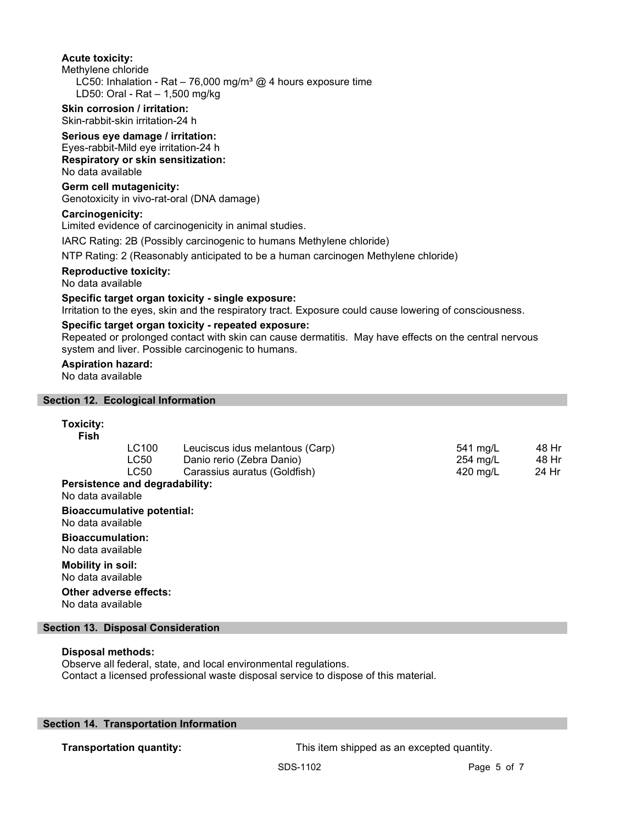#### Acute toxicity:

Methylene chloride

LC50: Inhalation - Rat – 76,000 mg/m<sup>3</sup> @ 4 hours exposure time LD50: Oral - Rat – 1,500 mg/kg

#### Skin corrosion / irritation: Skin-rabbit-skin irritation-24 h

## Serious eye damage / irritation:

Eyes-rabbit-Mild eye irritation-24 h Respiratory or skin sensitization: No data available

## Germ cell mutagenicity:

Genotoxicity in vivo-rat-oral (DNA damage)

## Carcinogenicity:

Limited evidence of carcinogenicity in animal studies.

IARC Rating: 2B (Possibly carcinogenic to humans Methylene chloride)

NTP Rating: 2 (Reasonably anticipated to be a human carcinogen Methylene chloride)

#### Reproductive toxicity:

No data available

## Specific target organ toxicity - single exposure:

Irritation to the eyes, skin and the respiratory tract. Exposure could cause lowering of consciousness.

#### Specific target organ toxicity - repeated exposure:

Repeated or prolonged contact with skin can cause dermatitis. May have effects on the central nervous system and liver. Possible carcinogenic to humans.

# Aspiration hazard:

No data available

#### Section 12. Ecological Information

## Toxicity:

| Fish                                         |                                   |                                 |                    |       |
|----------------------------------------------|-----------------------------------|---------------------------------|--------------------|-------|
|                                              | LC100                             | Leuciscus idus melantous (Carp) | 541 mg/L           | 48 Hr |
|                                              | LC50                              | Danio rerio (Zebra Danio)       | $254 \text{ mg/L}$ | 48 Hr |
|                                              | LC50                              | Carassius auratus (Goldfish)    | 420 mg/L           | 24 Hr |
| No data available                            | Persistence and degradability:    |                                 |                    |       |
| No data available                            | <b>Bioaccumulative potential:</b> |                                 |                    |       |
| <b>Bioaccumulation:</b><br>No data available |                                   |                                 |                    |       |
| Mobility in soil:<br>No data available       |                                   |                                 |                    |       |

Other adverse effects: No data available

## Section 13. Disposal Consideration

# Disposal methods:

Observe all federal, state, and local environmental regulations. Contact a licensed professional waste disposal service to dispose of this material.

# Section 14. Transportation Information

**Transportation quantity:** This item shipped as an excepted quantity.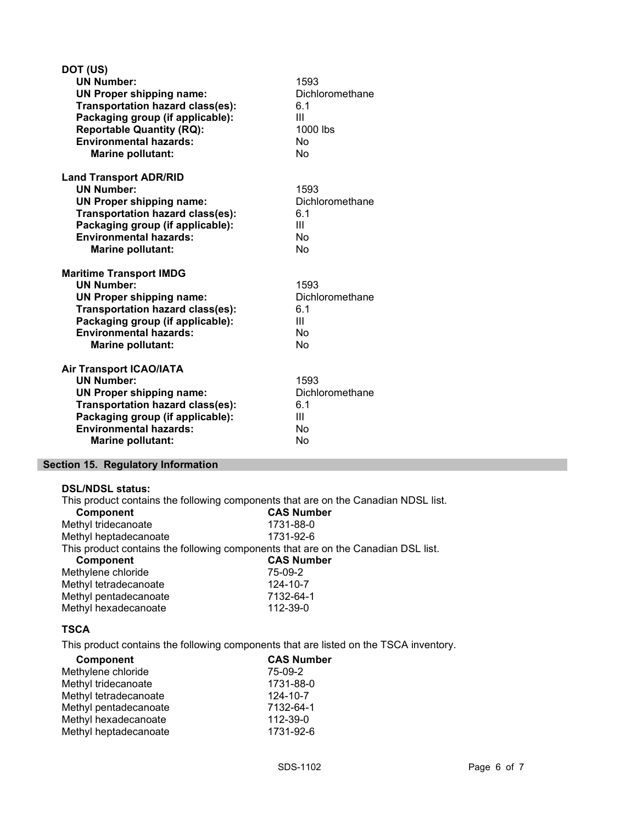| DOT (US)                         |                 |
|----------------------------------|-----------------|
| <b>UN Number:</b>                | 1593            |
| <b>UN Proper shipping name:</b>  | Dichloromethane |
| Transportation hazard class(es): | 6.1             |
| Packaging group (if applicable): | Ш               |
| <b>Reportable Quantity (RQ):</b> | 1000 lbs        |
| <b>Environmental hazards:</b>    | No              |
| <b>Marine pollutant:</b>         | No              |
| <b>Land Transport ADR/RID</b>    |                 |
| <b>UN Number:</b>                | 1593            |
| <b>UN Proper shipping name:</b>  | Dichloromethane |
| Transportation hazard class(es): | 6.1             |
| Packaging group (if applicable): | Ш               |
| <b>Environmental hazards:</b>    | <b>No</b>       |
| <b>Marine pollutant:</b>         | No              |
| <b>Maritime Transport IMDG</b>   |                 |
| <b>UN Number:</b>                | 1593            |
| <b>UN Proper shipping name:</b>  | Dichloromethane |
| Transportation hazard class(es): | 6.1             |
| Packaging group (if applicable): | Ш               |
| <b>Environmental hazards:</b>    | No              |
|                                  |                 |
| <b>Marine pollutant:</b>         | No              |
| <b>Air Transport ICAO/IATA</b>   |                 |
| <b>UN Number:</b>                | 1593            |
| <b>UN Proper shipping name:</b>  | Dichloromethane |
| Transportation hazard class(es): | 6.1             |
| Packaging group (if applicable): | Ш               |
| <b>Environmental hazards:</b>    | No              |

# Section 15. Regulatory Information

#### DSL/NDSL status:

This product contains the following components that are on the Canadian NDSL list.<br> **CAS Number** Component Methyl tridecanoate 1731-88-0 Methyl heptadecanoate 1731-92-6 This product contains the following components that are on the Canadian DSL list.<br> **CAS Number** CAS Number<br>75-09-2 Methylene chloride<br>
Methyl tetradecanoate<br>
124-10-7 Methyl tetradecanoate Methyl pentadecanoate 6 1132-64-1<br>Methyl hexadecanoate 6 112-39-0 Methyl hexadecanoate

# **TSCA**

This product contains the following components that are listed on the TSCA inventory.

| Component             | <b>CAS Number</b> |
|-----------------------|-------------------|
| Methylene chloride    | 75-09-2           |
| Methyl tridecanoate   | 1731-88-0         |
| Methyl tetradecanoate | 124-10-7          |
| Methyl pentadecanoate | 7132-64-1         |
| Methyl hexadecanoate  | 112-39-0          |
| Methyl heptadecanoate | 1731-92-6         |